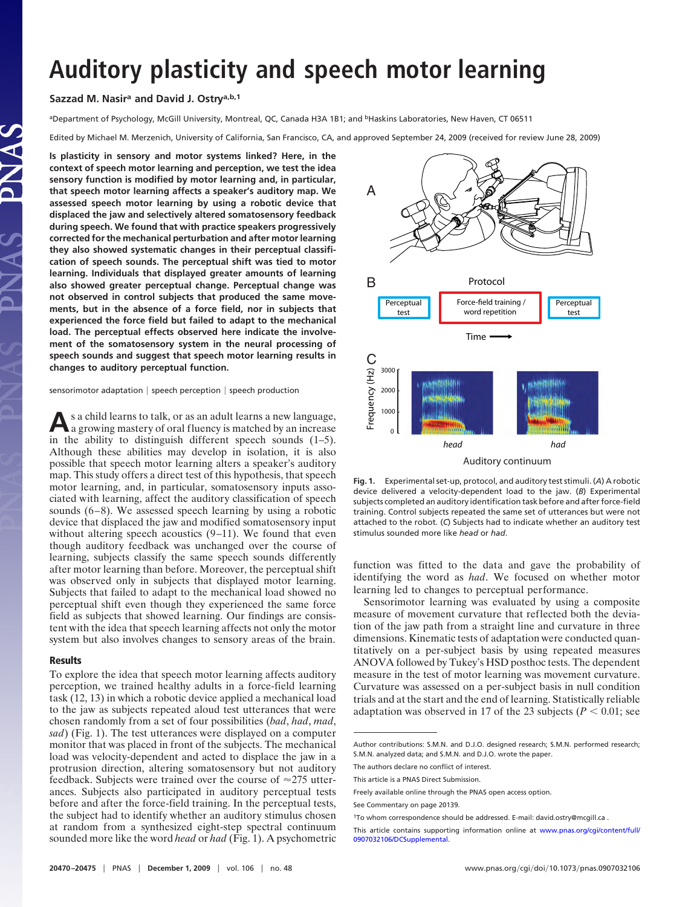# **Auditory plasticity and speech motor learning**

## **Sazzad M. Nasira and David J. Ostrya,b,1**

aDepartment of Psychology, McGill University, Montreal, QC, Canada H3A 1B1; and <sup>b</sup>Haskins Laboratories, New Haven, CT 06511

Edited by Michael M. Merzenich, University of California, San Francisco, CA, and approved September 24, 2009 (received for review June 28, 2009)

**Is plasticity in sensory and motor systems linked? Here, in the context of speech motor learning and perception, we test the idea sensory function is modified by motor learning and, in particular, that speech motor learning affects a speaker's auditory map. We assessed speech motor learning by using a robotic device that displaced the jaw and selectively altered somatosensory feedback during speech. We found that with practice speakers progressively corrected for the mechanical perturbation and after motor learning they also showed systematic changes in their perceptual classification of speech sounds. The perceptual shift was tied to motor learning. Individuals that displayed greater amounts of learning also showed greater perceptual change. Perceptual change was not observed in control subjects that produced the same movements, but in the absence of a force field, nor in subjects that experienced the force field but failed to adapt to the mechanical load. The perceptual effects observed here indicate the involvement of the somatosensory system in the neural processing of speech sounds and suggest that speech motor learning results in changes to auditory perceptual function.**

sensorimotor adaptation  $|$  speech perception  $|$  speech production

As a child learns to talk, or as an adult learns a new language,<br>a growing mastery of oral fluency is matched by an increase in the ability to distinguish different speech sounds (1–5). Although these abilities may develop in isolation, it is also possible that speech motor learning alters a speaker's auditory map. This study offers a direct test of this hypothesis, that speech motor learning, and, in particular, somatosensory inputs associated with learning, affect the auditory classification of speech sounds (6–8). We assessed speech learning by using a robotic device that displaced the jaw and modified somatosensory input without altering speech acoustics (9–11). We found that even though auditory feedback was unchanged over the course of learning, subjects classify the same speech sounds differently after motor learning than before. Moreover, the perceptual shift was observed only in subjects that displayed motor learning. Subjects that failed to adapt to the mechanical load showed no perceptual shift even though they experienced the same force field as subjects that showed learning. Our findings are consistent with the idea that speech learning affects not only the motor system but also involves changes to sensory areas of the brain.

### **Results**

To explore the idea that speech motor learning affects auditory perception, we trained healthy adults in a force-field learning task (12, 13) in which a robotic device applied a mechanical load to the jaw as subjects repeated aloud test utterances that were chosen randomly from a set of four possibilities (*bad*, *had*, *mad*, *sad*) (Fig. 1). The test utterances were displayed on a computer monitor that was placed in front of the subjects. The mechanical load was velocity-dependent and acted to displace the jaw in a protrusion direction, altering somatosensory but not auditory feedback. Subjects were trained over the course of  $\approx$ 275 utterances. Subjects also participated in auditory perceptual tests before and after the force-field training. In the perceptual tests, the subject had to identify whether an auditory stimulus chosen at random from a synthesized eight-step spectral continuum sounded more like the word *head* or *had* (Fig. 1). A psychometric



**Fig. 1.** Experimental set-up, protocol, and auditory test stimuli. (*A*) A robotic device delivered a velocity-dependent load to the jaw. (*B*) Experimental subjects completed an auditory identification task before and after force-field training. Control subjects repeated the same set of utterances but were not attached to the robot. (*C*) Subjects had to indicate whether an auditory test stimulus sounded more like *head* or *had*.

function was fitted to the data and gave the probability of identifying the word as *had*. We focused on whether motor learning led to changes to perceptual performance.

Sensorimotor learning was evaluated by using a composite measure of movement curvature that reflected both the deviation of the jaw path from a straight line and curvature in three dimensions. Kinematic tests of adaptation were conducted quantitatively on a per-subject basis by using repeated measures ANOVA followed by Tukey's HSD posthoc tests. The dependent measure in the test of motor learning was movement curvature. Curvature was assessed on a per-subject basis in null condition trials and at the start and the end of learning. Statistically reliable adaptation was observed in 17 of the 23 subjects  $(P < 0.01$ ; see

Author contributions: S.M.N. and D.J.O. designed research; S.M.N. performed research; S.M.N. analyzed data; and S.M.N. and D.J.O. wrote the paper.

The authors declare no conflict of interest.

This article is a PNAS Direct Submission.

Freely available online through the PNAS open access option.

See Commentary on page 20139.

<sup>1</sup>To whom correspondence should be addressed. E-mail: david.ostry@mcgill.ca .

This article contains supporting information online at [www.pnas.org/cgi/content/full/](http://www.pnas.org/cgi/content/full/0907032106/DCSupplemental) [0907032106/DCSupplemental.](http://www.pnas.org/cgi/content/full/0907032106/DCSupplemental)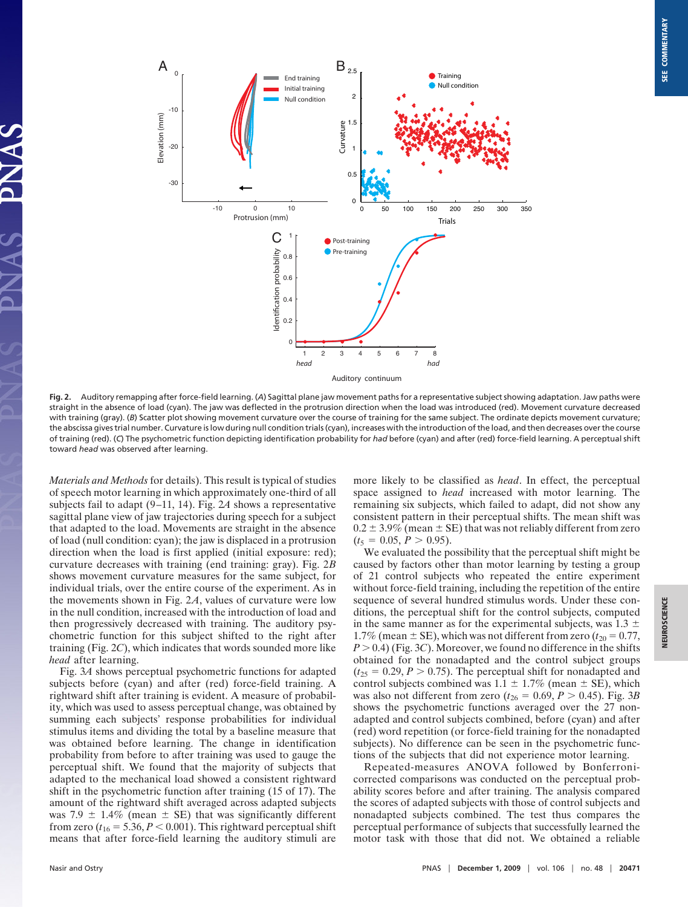

**Fig. 2.** Auditory remapping after force-field learning. (*A*) Sagittal plane jaw movement paths for a representative subject showing adaptation. Jaw paths were straight in the absence of load (cyan). The jaw was deflected in the protrusion direction when the load was introduced (red). Movement curvature decreased with training (gray). (B) Scatter plot showing movement curvature over the course of training for the same subject. The ordinate depicts movement curvature; the abscissa gives trial number. Curvature is low during null condition trials (cyan), increases with the introduction of the load, and then decreases over the course of training (red). (*C*) The psychometric function depicting identification probability for *had* before (cyan) and after (red) force-field learning. A perceptual shift toward *head* was observed after learning.

*Materials and Methods* for details). This result is typical of studies of speech motor learning in which approximately one-third of all subjects fail to adapt (9–11, 14). Fig. 2*A* shows a representative sagittal plane view of jaw trajectories during speech for a subject that adapted to the load. Movements are straight in the absence of load (null condition: cyan); the jaw is displaced in a protrusion direction when the load is first applied (initial exposure: red); curvature decreases with training (end training: gray). Fig. 2*B* shows movement curvature measures for the same subject, for individual trials, over the entire course of the experiment. As in the movements shown in Fig. 2*A*, values of curvature were low in the null condition, increased with the introduction of load and then progressively decreased with training. The auditory psychometric function for this subject shifted to the right after training (Fig. 2*C*), which indicates that words sounded more like *head* after learning.

Fig. 3*A* shows perceptual psychometric functions for adapted subjects before (cyan) and after (red) force-field training. A rightward shift after training is evident. A measure of probability, which was used to assess perceptual change, was obtained by summing each subjects' response probabilities for individual stimulus items and dividing the total by a baseline measure that was obtained before learning. The change in identification probability from before to after training was used to gauge the perceptual shift. We found that the majority of subjects that adapted to the mechanical load showed a consistent rightward shift in the psychometric function after training (15 of 17). The amount of the rightward shift averaged across adapted subjects was 7.9  $\pm$  1.4% (mean  $\pm$  SE) that was significantly different from zero  $(t_{16} = 5.36, P < 0.001)$ . This rightward perceptual shift means that after force-field learning the auditory stimuli are more likely to be classified as *head*. In effect, the perceptual space assigned to *head* increased with motor learning. The remaining six subjects, which failed to adapt, did not show any consistent pattern in their perceptual shifts. The mean shift was  $0.2 \pm 3.9\%$  (mean  $\pm$  SE) that was not reliably different from zero  $(t_5 = 0.05, P > 0.95).$ 

We evaluated the possibility that the perceptual shift might be caused by factors other than motor learning by testing a group of 21 control subjects who repeated the entire experiment without force-field training, including the repetition of the entire sequence of several hundred stimulus words. Under these conditions, the perceptual shift for the control subjects, computed in the same manner as for the experimental subjects, was  $1.3 \pm$ 1.7% (mean  $\pm$  SE), which was not different from zero ( $t_{20} = 0.77$ ,  $P > 0.4$ ) (Fig. 3*C*). Moreover, we found no difference in the shifts obtained for the nonadapted and the control subject groups  $(t_{25} = 0.29, P > 0.75)$ . The perceptual shift for nonadapted and control subjects combined was  $1.1 \pm 1.7\%$  (mean  $\pm$  SE), which was also not different from zero ( $t_{26} = 0.69, P > 0.45$ ). Fig. 3*B* shows the psychometric functions averaged over the 27 nonadapted and control subjects combined, before (cyan) and after (red) word repetition (or force-field training for the nonadapted subjects). No difference can be seen in the psychometric functions of the subjects that did not experience motor learning.

Repeated-measures ANOVA followed by Bonferronicorrected comparisons was conducted on the perceptual probability scores before and after training. The analysis compared the scores of adapted subjects with those of control subjects and nonadapted subjects combined. The test thus compares the perceptual performance of subjects that successfully learned the motor task with those that did not. We obtained a reliable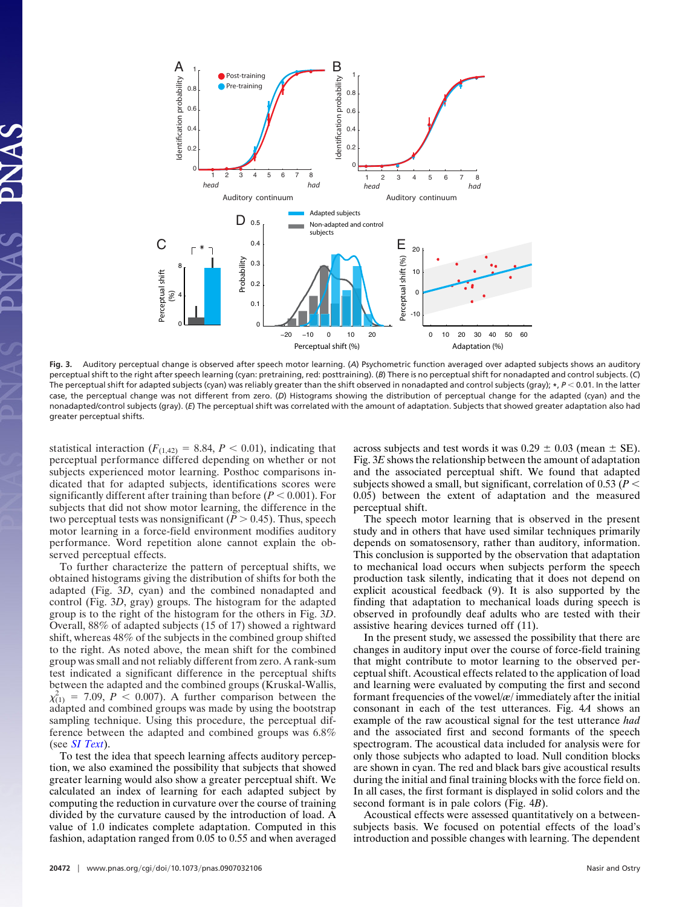

**Fig. 3.** Auditory perceptual change is observed after speech motor learning. (*A*) Psychometric function averaged over adapted subjects shows an auditory perceptual shift to the right after speech learning (cyan: pretraining, red: posttraining). (*B*) There is no perceptual shift for nonadapted and control subjects. (*C*) The perceptual shift for adapted subjects (cyan) was reliably greater than the shift observed in nonadapted and control subjects (gray); **\***, *P* - 0.01. In the latter case, the perceptual change was not different from zero. (*D*) Histograms showing the distribution of perceptual change for the adapted (cyan) and the nonadapted/control subjects (gray). (*E*) The perceptual shift was correlated with the amount of adaptation. Subjects that showed greater adaptation also had greater perceptual shifts.

statistical interaction  $(F_{(1,42)} = 8.84, P < 0.01)$ , indicating that perceptual performance differed depending on whether or not subjects experienced motor learning. Posthoc comparisons indicated that for adapted subjects, identifications scores were significantly different after training than before  $(P < 0.001)$ . For subjects that did not show motor learning, the difference in the two perceptual tests was nonsignificant  $(P > 0.45)$ . Thus, speech motor learning in a force-field environment modifies auditory performance. Word repetition alone cannot explain the observed perceptual effects.

To further characterize the pattern of perceptual shifts, we obtained histograms giving the distribution of shifts for both the adapted (Fig. 3*D*, cyan) and the combined nonadapted and control (Fig. 3*D*, gray) groups. The histogram for the adapted group is to the right of the histogram for the others in Fig. 3*D*. Overall, 88% of adapted subjects (15 of 17) showed a rightward shift, whereas 48% of the subjects in the combined group shifted to the right. As noted above, the mean shift for the combined group was small and not reliably different from zero. A rank-sum test indicated a significant difference in the perceptual shifts between the adapted and the combined groups (Kruskal-Wallis,  $\chi^{2}_{(1)} = 7.09$ ,  $P \le 0.007$ ). A further comparison between the adapted and combined groups was made by using the bootstrap sampling technique. Using this procedure, the perceptual difference between the adapted and combined groups was 6.8% (see *[SI Text](http://www.pnas.org/cgi/data/0907032106/DCSupplemental/Supplemental_PDF#nameddest=STXT)*).

To test the idea that speech learning affects auditory perception, we also examined the possibility that subjects that showed greater learning would also show a greater perceptual shift. We calculated an index of learning for each adapted subject by computing the reduction in curvature over the course of training divided by the curvature caused by the introduction of load. A value of 1.0 indicates complete adaptation. Computed in this fashion, adaptation ranged from 0.05 to 0.55 and when averaged across subjects and test words it was  $0.29 \pm 0.03$  (mean  $\pm$  SE). Fig. 3*E* shows the relationship between the amount of adaptation and the associated perceptual shift. We found that adapted subjects showed a small, but significant, correlation of 0.53 ( $P$  < 0.05) between the extent of adaptation and the measured perceptual shift.

The speech motor learning that is observed in the present study and in others that have used similar techniques primarily depends on somatosensory, rather than auditory, information. This conclusion is supported by the observation that adaptation to mechanical load occurs when subjects perform the speech production task silently, indicating that it does not depend on explicit acoustical feedback (9). It is also supported by the finding that adaptation to mechanical loads during speech is observed in profoundly deaf adults who are tested with their assistive hearing devices turned off (11).

In the present study, we assessed the possibility that there are changes in auditory input over the course of force-field training that might contribute to motor learning to the observed perceptual shift. Acoustical effects related to the application of load and learning were evaluated by computing the first and second formant frequencies of the vowel/*æ*/ immediately after the initial consonant in each of the test utterances. Fig. 4*A* shows an example of the raw acoustical signal for the test utterance *had* and the associated first and second formants of the speech spectrogram. The acoustical data included for analysis were for only those subjects who adapted to load. Null condition blocks are shown in cyan. The red and black bars give acoustical results during the initial and final training blocks with the force field on. In all cases, the first formant is displayed in solid colors and the second formant is in pale colors (Fig. 4*B*).

Acoustical effects were assessed quantitatively on a betweensubjects basis. We focused on potential effects of the load's introduction and possible changes with learning. The dependent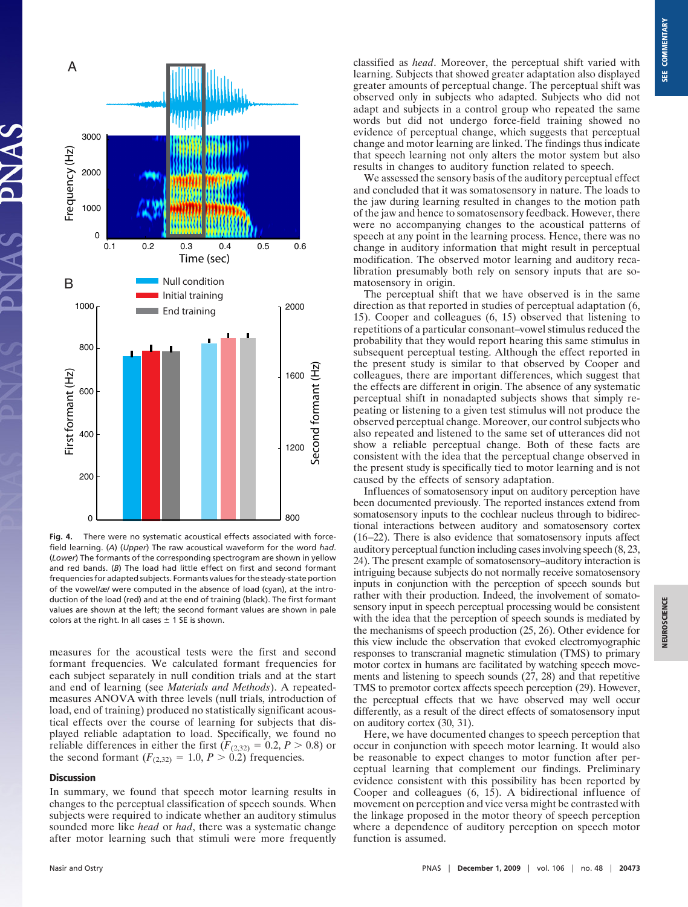

**Fig. 4.** There were no systematic acoustical effects associated with forcefield learning. (*A*) (*Upper*) The raw acoustical waveform for the word *had*. (*Lower*) The formants of the corresponding spectrogram are shown in yellow and red bands. (*B*) The load had little effect on first and second formant frequencies for adapted subjects. Formants values for the steady-state portion of the vowel/*æ*/ were computed in the absence of load (cyan), at the introduction of the load (red) and at the end of training (black). The first formant values are shown at the left; the second formant values are shown in pale colors at the right. In all cases  $\pm$  1 SE is shown.

measures for the acoustical tests were the first and second formant frequencies. We calculated formant frequencies for each subject separately in null condition trials and at the start and end of learning (see *Materials and Methods*). A repeatedmeasures ANOVA with three levels (null trials, introduction of load, end of training) produced no statistically significant acoustical effects over the course of learning for subjects that displayed reliable adaptation to load. Specifically, we found no reliable differences in either the first  $(F_{(2,32)} = 0.2, P > 0.8)$  or the second formant  $(F_{(2,32)} = 1.0, P > 0.2)$  frequencies.

### **Discussion**

In summary, we found that speech motor learning results in changes to the perceptual classification of speech sounds. When subjects were required to indicate whether an auditory stimulus sounded more like *head* or *had*, there was a systematic change after motor learning such that stimuli were more frequently classified as *head*. Moreover, the perceptual shift varied with learning. Subjects that showed greater adaptation also displayed greater amounts of perceptual change. The perceptual shift was observed only in subjects who adapted. Subjects who did not adapt and subjects in a control group who repeated the same words but did not undergo force-field training showed no evidence of perceptual change, which suggests that perceptual change and motor learning are linked. The findings thus indicate that speech learning not only alters the motor system but also results in changes to auditory function related to speech.

We assessed the sensory basis of the auditory perceptual effect and concluded that it was somatosensory in nature. The loads to the jaw during learning resulted in changes to the motion path of the jaw and hence to somatosensory feedback. However, there were no accompanying changes to the acoustical patterns of speech at any point in the learning process. Hence, there was no change in auditory information that might result in perceptual modification. The observed motor learning and auditory recalibration presumably both rely on sensory inputs that are somatosensory in origin.

The perceptual shift that we have observed is in the same direction as that reported in studies of perceptual adaptation (6, 15). Cooper and colleagues (6, 15) observed that listening to repetitions of a particular consonant–vowel stimulus reduced the probability that they would report hearing this same stimulus in subsequent perceptual testing. Although the effect reported in the present study is similar to that observed by Cooper and colleagues, there are important differences, which suggest that the effects are different in origin. The absence of any systematic perceptual shift in nonadapted subjects shows that simply repeating or listening to a given test stimulus will not produce the observed perceptual change. Moreover, our control subjects who also repeated and listened to the same set of utterances did not show a reliable perceptual change. Both of these facts are consistent with the idea that the perceptual change observed in the present study is specifically tied to motor learning and is not caused by the effects of sensory adaptation.

Influences of somatosensory input on auditory perception have been documented previously. The reported instances extend from somatosensory inputs to the cochlear nucleus through to bidirectional interactions between auditory and somatosensory cortex (16–22). There is also evidence that somatosensory inputs affect auditory perceptual function including cases involving speech (8, 23, 24). The present example of somatosensory–auditory interaction is intriguing because subjects do not normally receive somatosensory inputs in conjunction with the perception of speech sounds but rather with their production. Indeed, the involvement of somatosensory input in speech perceptual processing would be consistent with the idea that the perception of speech sounds is mediated by the mechanisms of speech production (25, 26). Other evidence for this view include the observation that evoked electromyographic responses to transcranial magnetic stimulation (TMS) to primary motor cortex in humans are facilitated by watching speech movements and listening to speech sounds (27, 28) and that repetitive TMS to premotor cortex affects speech perception (29). However, the perceptual effects that we have observed may well occur differently, as a result of the direct effects of somatosensory input on auditory cortex (30, 31).

Here, we have documented changes to speech perception that occur in conjunction with speech motor learning. It would also be reasonable to expect changes to motor function after perceptual learning that complement our findings. Preliminary evidence consistent with this possibility has been reported by Cooper and colleagues (6, 15). A bidirectional influence of movement on perception and vice versa might be contrasted with the linkage proposed in the motor theory of speech perception where a dependence of auditory perception on speech motor function is assumed.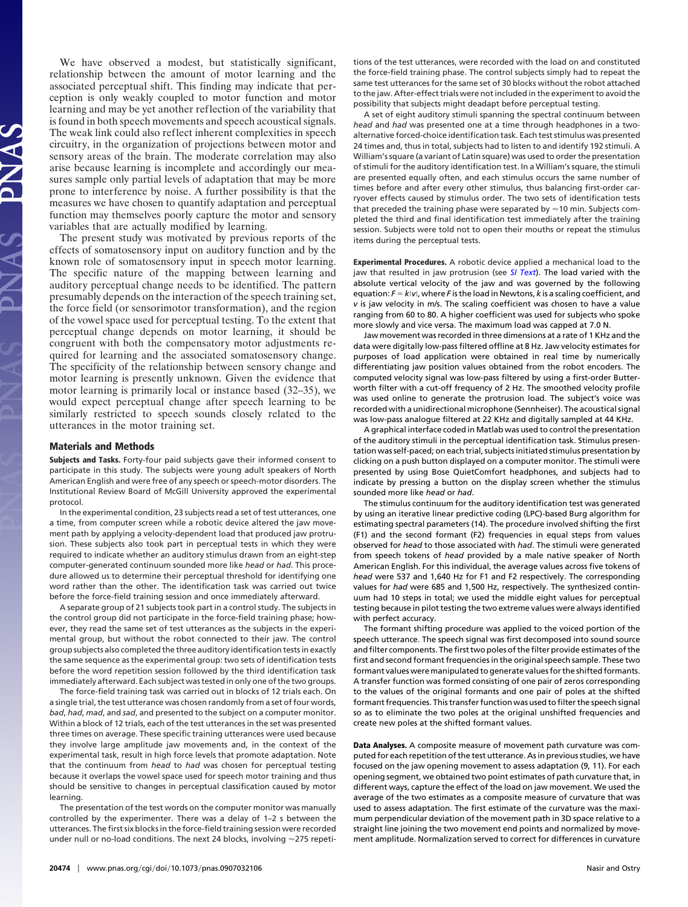We have observed a modest, but statistically significant, relationship between the amount of motor learning and the associated perceptual shift. This finding may indicate that perception is only weakly coupled to motor function and motor learning and may be yet another reflection of the variability that is found in both speech movements and speech acoustical signals. The weak link could also reflect inherent complexities in speech circuitry, in the organization of projections between motor and sensory areas of the brain. The moderate correlation may also arise because learning is incomplete and accordingly our measures sample only partial levels of adaptation that may be more prone to interference by noise. A further possibility is that the measures we have chosen to quantify adaptation and perceptual function may themselves poorly capture the motor and sensory variables that are actually modified by learning.

The present study was motivated by previous reports of the effects of somatosensory input on auditory function and by the known role of somatosensory input in speech motor learning. The specific nature of the mapping between learning and auditory perceptual change needs to be identified. The pattern presumably depends on the interaction of the speech training set, the force field (or sensorimotor transformation), and the region of the vowel space used for perceptual testing. To the extent that perceptual change depends on motor learning, it should be congruent with both the compensatory motor adjustments required for learning and the associated somatosensory change. The specificity of the relationship between sensory change and motor learning is presently unknown. Given the evidence that motor learning is primarily local or instance based (32–35), we would expect perceptual change after speech learning to be similarly restricted to speech sounds closely related to the utterances in the motor training set.

#### **Materials and Methods**

**Subjects and Tasks.** Forty-four paid subjects gave their informed consent to participate in this study. The subjects were young adult speakers of North American English and were free of any speech or speech-motor disorders. The Institutional Review Board of McGill University approved the experimental protocol.

In the experimental condition, 23 subjects read a set of test utterances, one a time, from computer screen while a robotic device altered the jaw movement path by applying a velocity-dependent load that produced jaw protrusion. These subjects also took part in perceptual tests in which they were required to indicate whether an auditory stimulus drawn from an eight-step computer-generated continuum sounded more like *head* or *had*. This procedure allowed us to determine their perceptual threshold for identifying one word rather than the other. The identification task was carried out twice before the force-field training session and once immediately afterward.

A separate group of 21 subjects took part in a control study. The subjects in the control group did not participate in the force-field training phase; however, they read the same set of test utterances as the subjects in the experimental group, but without the robot connected to their jaw. The control group subjects also completed the three auditory identification tests in exactly the same sequence as the experimental group: two sets of identification tests before the word repetition session followed by the third identification task immediately afterward. Each subject was tested in only one of the two groups.

The force-field training task was carried out in blocks of 12 trials each. On a single trial, the test utterance was chosen randomly from a set of four words, *bad*, *had*, *mad*, and *sad*, and presented to the subject on a computer monitor. Within a block of 12 trials, each of the test utterances in the set was presented three times on average. These specific training utterances were used because they involve large amplitude jaw movements and, in the context of the experimental task, result in high force levels that promote adaptation. Note that the continuum from *head* to *had* was chosen for perceptual testing because it overlaps the vowel space used for speech motor training and thus should be sensitive to changes in perceptual classification caused by motor learning.

The presentation of the test words on the computer monitor was manually controlled by the experimenter. There was a delay of 1–2 s between the utterances. The first six blocks in the force-field training session were recorded under null or no-load conditions. The next 24 blocks, involving  $\approx$  275 repetitions of the test utterances, were recorded with the load on and constituted the force-field training phase. The control subjects simply had to repeat the same test utterances for the same set of 30 blocks without the robot attached to the jaw. After-effect trials were not included in the experiment to avoid the possibility that subjects might deadapt before perceptual testing.

A set of eight auditory stimuli spanning the spectral continuum between *head* and *had* was presented one at a time through headphones in a twoalternative forced-choice identification task. Each test stimulus was presented 24 times and, thus in total, subjects had to listen to and identify 192 stimuli. A William's square (a variant of Latin square) was used to order the presentation of stimuli for the auditory identification test. In a William's square, the stimuli are presented equally often, and each stimulus occurs the same number of times before and after every other stimulus, thus balancing first-order carryover effects caused by stimulus order. The two sets of identification tests that preceded the training phase were separated by  $\approx$  10 min. Subjects completed the third and final identification test immediately after the training session. Subjects were told not to open their mouths or repeat the stimulus items during the perceptual tests.

**Experimental Procedures.** A robotic device applied a mechanical load to the jaw that resulted in jaw protrusion (see *[SI Text](http://www.pnas.org/cgi/data/0907032106/DCSupplemental/Supplemental_PDF#nameddest=STXT)*). The load varied with the absolute vertical velocity of the jaw and was governed by the following equation:  $F = k|v|$ , where *F* is the load in Newtons, *k* is a scaling coefficient, and *v* is jaw velocity in m/s. The scaling coefficient was chosen to have a value ranging from 60 to 80. A higher coefficient was used for subjects who spoke more slowly and vice versa. The maximum load was capped at 7.0 N.

Jaw movement was recorded in three dimensions at a rate of 1 KHz and the data were digitally low-pass filtered offline at 8 Hz. Jaw velocity estimates for purposes of load application were obtained in real time by numerically differentiating jaw position values obtained from the robot encoders. The computed velocity signal was low-pass filtered by using a first-order Butterworth filter with a cut-off frequency of 2 Hz. The smoothed velocity profile was used online to generate the protrusion load. The subject's voice was recorded with a unidirectional microphone (Sennheiser). The acoustical signal was low-pass analogue filtered at 22 KHz and digitally sampled at 44 KHz.

A graphical interface coded in Matlab was used to control the presentation of the auditory stimuli in the perceptual identification task. Stimulus presentation was self-paced; on each trial, subjects initiated stimulus presentation by clicking on a push button displayed on a computer monitor. The stimuli were presented by using Bose QuietComfort headphones, and subjects had to indicate by pressing a button on the display screen whether the stimulus sounded more like *head* or *had*.

The stimulus continuum for the auditory identification test was generated by using an iterative linear predictive coding (LPC)-based Burg algorithm for estimating spectral parameters (14). The procedure involved shifting the first (F1) and the second formant (F2) frequencies in equal steps from values observed for *head* to those associated with *had*. The stimuli were generated from speech tokens of *head* provided by a male native speaker of North American English. For this individual, the average values across five tokens of *head* were 537 and 1,640 Hz for F1 and F2 respectively. The corresponding values for *had* were 685 and 1,500 Hz, respectively. The synthesized continuum had 10 steps in total; we used the middle eight values for perceptual testing because in pilot testing the two extreme values were always identified with perfect accuracy.

The formant shifting procedure was applied to the voiced portion of the speech utterance. The speech signal was first decomposed into sound source and filter components. The first two poles of the filter provide estimates of the first and second formant frequencies in the original speech sample. These two formant values were manipulated to generate values for the shifted formants. A transfer function was formed consisting of one pair of zeros corresponding to the values of the original formants and one pair of poles at the shifted formant frequencies. This transfer function was used to filter the speech signal so as to eliminate the two poles at the original unshifted frequencies and create new poles at the shifted formant values.

**Data Analyses.** A composite measure of movement path curvature was computed for each repetition of the test utterance. As in previous studies, we have focused on the jaw opening movement to assess adaptation (9, 11). For each opening segment, we obtained two point estimates of path curvature that, in different ways, capture the effect of the load on jaw movement. We used the average of the two estimates as a composite measure of curvature that was used to assess adaptation. The first estimate of the curvature was the maximum perpendicular deviation of the movement path in 3D space relative to a straight line joining the two movement end points and normalized by movement amplitude. Normalization served to correct for differences in curvature